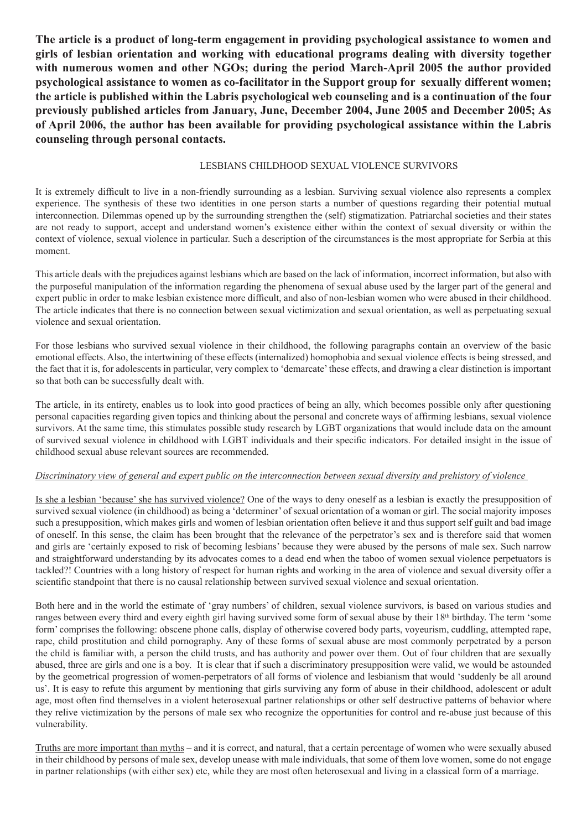**The article is a product of long-term engagement in providing psychological assistance to women and girls of lesbian orientation and working with educational programs dealing with diversity together with numerous women and other NGOs; during the period March-April 2005 the author provided psychological assistance to women as co-facilitator in the Support group for sexually different women; the article is published within the Labris psychological web counseling and is a continuation of the four previously published articles from January, June, December 2004, June 2005 and December 2005; As of April 2006, the author has been available for providing psychological assistance within the Labris counseling through personal contacts.** 

## LESBIANS CHILDHOOD SEXUAL VIOLENCE SURVIVORS

It is extremely difficult to live in a non-friendly surrounding as a lesbian. Surviving sexual violence also represents a complex experience. The synthesis of these two identities in one person starts a number of questions regarding their potential mutual interconnection. Dilemmas opened up by the surrounding strengthen the (self) stigmatization. Patriarchal societies and their states are not ready to support, accept and understand women's existence either within the context of sexual diversity or within the context of violence, sexual violence in particular. Such a description of the circumstances is the most appropriate for Serbia at this moment.

This article deals with the prejudices against lesbians which are based on the lack of information, incorrect information, but also with the purposeful manipulation of the information regarding the phenomena of sexual abuse used by the larger part of the general and expert public in order to make lesbian existence more difficult, and also of non-lesbian women who were abused in their childhood. The article indicates that there is no connection between sexual victimization and sexual orientation, as well as perpetuating sexual violence and sexual orientation.

For those lesbians who survived sexual violence in their childhood, the following paragraphs contain an overview of the basic emotional effects. Also, the intertwining of these effects (internalized) homophobia and sexual violence effects is being stressed, and the fact that it is, for adolescents in particular, very complex to 'demarcate' these effects, and drawing a clear distinction is important so that both can be successfully dealt with.

The article, in its entirety, enables us to look into good practices of being an ally, which becomes possible only after questioning personal capacities regarding given topics and thinking about the personal and concrete ways of affirming lesbians, sexual violence survivors. At the same time, this stimulates possible study research by LGBT organizations that would include data on the amount of survived sexual violence in childhood with LGBT individuals and their specific indicators. For detailed insight in the issue of childhood sexual abuse relevant sources are recommended.

## *Discriminatory view of general and expert public on the interconnection between sexual diversity and prehistory of violence*

Is she a lesbian 'because' she has survived violence? One of the ways to deny oneself as a lesbian is exactly the presupposition of survived sexual violence (in childhood) as being a 'determiner' of sexual orientation of a woman or girl. The social majority imposes such a presupposition, which makes girls and women of lesbian orientation often believe it and thus support self guilt and bad image of oneself. In this sense, the claim has been brought that the relevance of the perpetrator's sex and is therefore said that women and girls are 'certainly exposed to risk of becoming lesbians' because they were abused by the persons of male sex. Such narrow and straightforward understanding by its advocates comes to a dead end when the taboo of women sexual violence perpetuators is tackled?! Countries with a long history of respect for human rights and working in the area of violence and sexual diversity offer a scientific standpoint that there is no causal relationship between survived sexual violence and sexual orientation.

Both here and in the world the estimate of 'gray numbers' of children, sexual violence survivors, is based on various studies and ranges between every third and every eighth girl having survived some form of sexual abuse by their 18<sup>th</sup> birthday. The term 'some form' comprises the following: obscene phone calls, display of otherwise covered body parts, voyeurism, cuddling, attempted rape, rape, child prostitution and child pornography. Any of these forms of sexual abuse are most commonly perpetrated by a person the child is familiar with, a person the child trusts, and has authority and power over them. Out of four children that are sexually abused, three are girls and one is a boy. It is clear that if such a discriminatory presupposition were valid, we would be astounded by the geometrical progression of women-perpetrators of all forms of violence and lesbianism that would 'suddenly be all around us'. It is easy to refute this argument by mentioning that girls surviving any form of abuse in their childhood, adolescent or adult age, most often find themselves in a violent heterosexual partner relationships or other self destructive patterns of behavior where they relive victimization by the persons of male sex who recognize the opportunities for control and re-abuse just because of this vulnerability.

Truths are more important than myths – and it is correct, and natural, that a certain percentage of women who were sexually abused in their childhood by persons of male sex, develop unease with male individuals, that some of them love women, some do not engage in partner relationships (with either sex) etc, while they are most often heterosexual and living in a classical form of a marriage.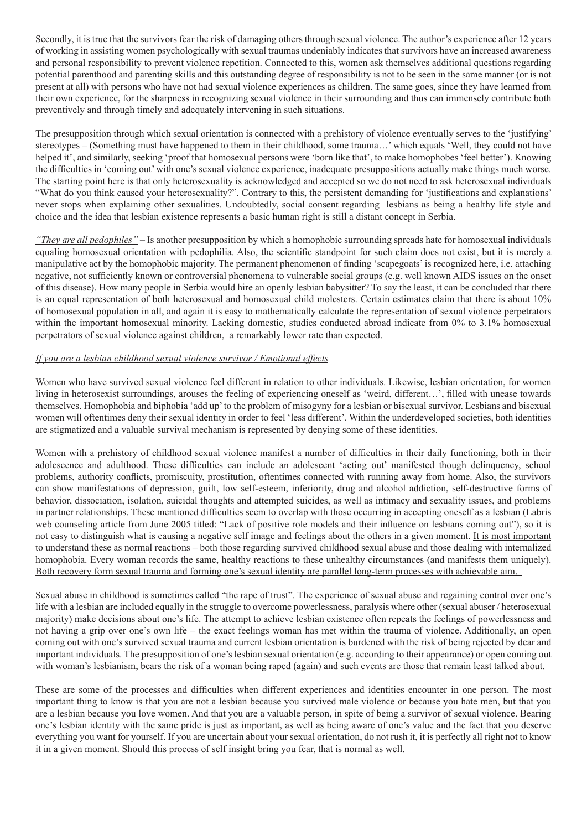Secondly, it is true that the survivors fear the risk of damaging others through sexual violence. The author's experience after 12 years of working in assisting women psychologically with sexual traumas undeniably indicates that survivors have an increased awareness and personal responsibility to prevent violence repetition. Connected to this, women ask themselves additional questions regarding potential parenthood and parenting skills and this outstanding degree of responsibility is not to be seen in the same manner (or is not present at all) with persons who have not had sexual violence experiences as children. The same goes, since they have learned from their own experience, for the sharpness in recognizing sexual violence in their surrounding and thus can immensely contribute both preventively and through timely and adequately intervening in such situations.

The presupposition through which sexual orientation is connected with a prehistory of violence eventually serves to the 'justifying' stereotypes – (Something must have happened to them in their childhood, some trauma…' which equals 'Well, they could not have helped it', and similarly, seeking 'proof that homosexual persons were 'born like that', to make homophobes 'feel better'). Knowing the difficulties in 'coming out' with one's sexual violence experience, inadequate presuppositions actually make things much worse. The starting point here is that only heterosexuality is acknowledged and accepted so we do not need to ask heterosexual individuals "What do you think caused your heterosexuality?". Contrary to this, the persistent demanding for 'justifications and explanations' never stops when explaining other sexualities. Undoubtedly, social consent regarding lesbians as being a healthy life style and choice and the idea that lesbian existence represents a basic human right is still a distant concept in Serbia.

*"They are all pedophiles"* – Is another presupposition by which a homophobic surrounding spreads hate for homosexual individuals equaling homosexual orientation with pedophilia. Also, the scientific standpoint for such claim does not exist, but it is merely a manipulative act by the homophobic majority. The permanent phenomenon of finding 'scapegoats' is recognized here, i.e. attaching negative, not sufficiently known or controversial phenomena to vulnerable social groups (e.g. well known AIDS issues on the onset of this disease). How many people in Serbia would hire an openly lesbian babysitter? To say the least, it can be concluded that there is an equal representation of both heterosexual and homosexual child molesters. Certain estimates claim that there is about 10% of homosexual population in all, and again it is easy to mathematically calculate the representation of sexual violence perpetrators within the important homosexual minority. Lacking domestic, studies conducted abroad indicate from 0% to 3.1% homosexual perpetrators of sexual violence against children, a remarkably lower rate than expected.

## *If you are a lesbian childhood sexual violence survivor / Emotional effects*

Women who have survived sexual violence feel different in relation to other individuals. Likewise, lesbian orientation, for women living in heterosexist surroundings, arouses the feeling of experiencing oneself as 'weird, different…', filled with unease towards themselves. Homophobia and biphobia 'add up' to the problem of misogyny for a lesbian or bisexual survivor. Lesbians and bisexual women will oftentimes deny their sexual identity in order to feel 'less different'. Within the underdeveloped societies, both identities are stigmatized and a valuable survival mechanism is represented by denying some of these identities.

Women with a prehistory of childhood sexual violence manifest a number of difficulties in their daily functioning, both in their adolescence and adulthood. These difficulties can include an adolescent 'acting out' manifested though delinquency, school problems, authority conflicts, promiscuity, prostitution, oftentimes connected with running away from home. Also, the survivors can show manifestations of depression, guilt, low self-esteem, inferiority, drug and alcohol addiction, self-destructive forms of behavior, dissociation, isolation, suicidal thoughts and attempted suicides, as well as intimacy and sexuality issues, and problems in partner relationships. These mentioned difficulties seem to overlap with those occurring in accepting oneself as a lesbian (Labris web counseling article from June 2005 titled: "Lack of positive role models and their influence on lesbians coming out"), so it is not easy to distinguish what is causing a negative self image and feelings about the others in a given moment. It is most important to understand these as normal reactions – both those regarding survived childhood sexual abuse and those dealing with internalized homophobia. Every woman records the same, healthy reactions to these unhealthy circumstances (and manifests them uniquely). Both recovery form sexual trauma and forming one's sexual identity are parallel long-term processes with achievable aim.

Sexual abuse in childhood is sometimes called "the rape of trust". The experience of sexual abuse and regaining control over one's life with a lesbian are included equally in the struggle to overcome powerlessness, paralysis where other (sexual abuser / heterosexual majority) make decisions about one's life. The attempt to achieve lesbian existence often repeats the feelings of powerlessness and not having a grip over one's own life – the exact feelings woman has met within the trauma of violence. Additionally, an open coming out with one's survived sexual trauma and current lesbian orientation is burdened with the risk of being rejected by dear and important individuals. The presupposition of one's lesbian sexual orientation (e.g. according to their appearance) or open coming out with woman's lesbianism, bears the risk of a woman being raped (again) and such events are those that remain least talked about.

These are some of the processes and difficulties when different experiences and identities encounter in one person. The most important thing to know is that you are not a lesbian because you survived male violence or because you hate men, but that you are a lesbian because you love women. And that you are a valuable person, in spite of being a survivor of sexual violence. Bearing one's lesbian identity with the same pride is just as important, as well as being aware of one's value and the fact that you deserve everything you want for yourself. If you are uncertain about your sexual orientation, do not rush it, it is perfectly all right not to know it in a given moment. Should this process of self insight bring you fear, that is normal as well.